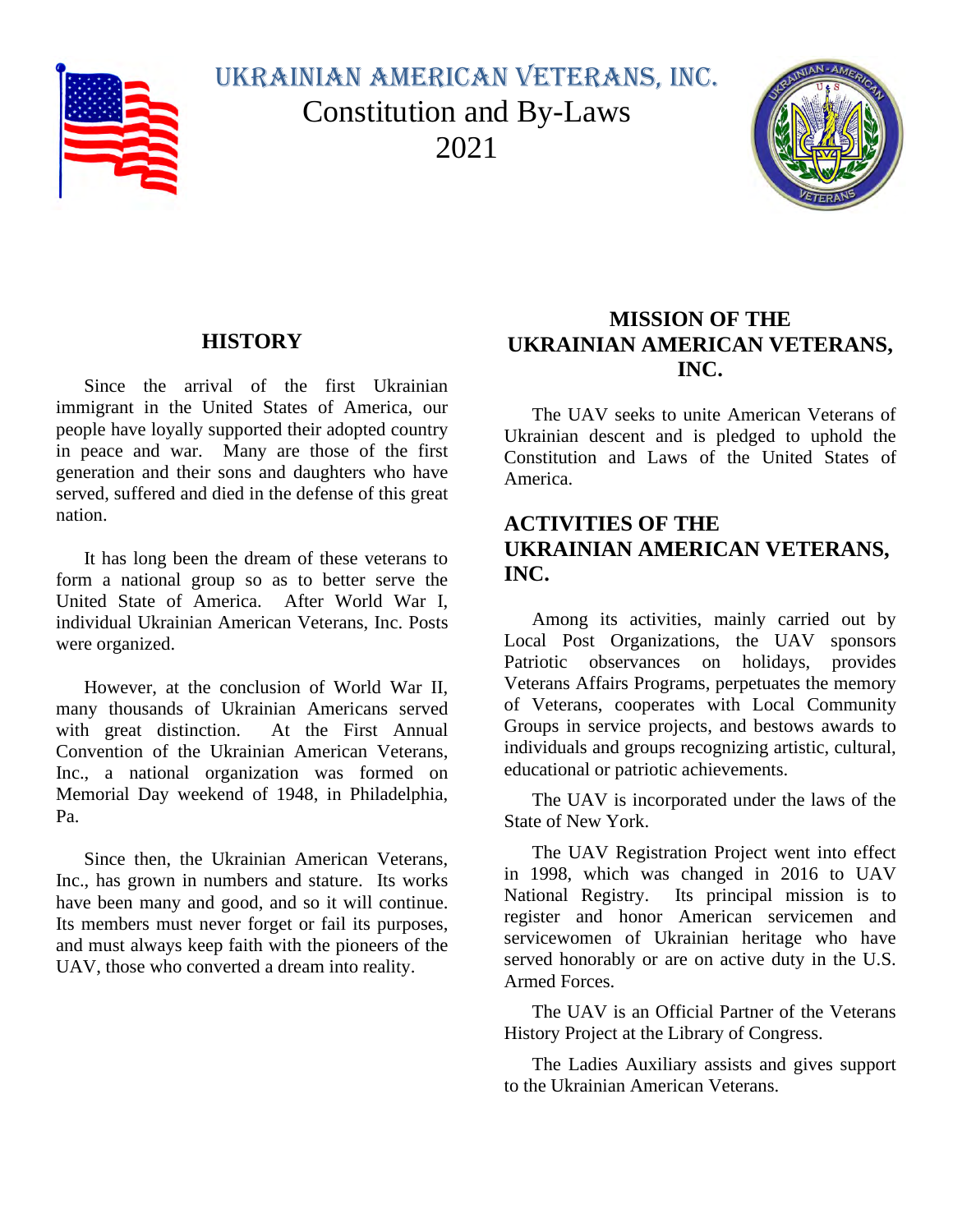

Ukrainian American Veterans, Inc. Constitution and By-Laws 2021



# **HISTORY**

<span id="page-0-0"></span>Since the arrival of the first Ukrainian immigrant in the United States of America, our people have loyally supported their adopted country in peace and war. Many are those of the first generation and their sons and daughters who have served, suffered and died in the defense of this great nation.

It has long been the dream of these veterans to form a national group so as to better serve the United State of America. After World War I, individual Ukrainian American Veterans, Inc. Posts were organized.

However, at the conclusion of World War II, many thousands of Ukrainian Americans served with great distinction. At the First Annual Convention of the Ukrainian American Veterans, Inc., a national organization was formed on Memorial Day weekend of 1948, in Philadelphia, Pa.

Since then, the Ukrainian American Veterans, Inc., has grown in numbers and stature. Its works have been many and good, and so it will continue. Its members must never forget or fail its purposes, and must always keep faith with the pioneers of the UAV, those who converted a dream into reality.

# <span id="page-0-1"></span>**MISSION OF THE UKRAINIAN AMERICAN VETERANS, INC.**

The UAV seeks to unite American Veterans of Ukrainian descent and is pledged to uphold the Constitution and Laws of the United States of America.

# <span id="page-0-2"></span>**ACTIVITIES OF THE UKRAINIAN AMERICAN VETERANS, INC.**

Among its activities, mainly carried out by Local Post Organizations, the UAV sponsors Patriotic observances on holidays, provides Veterans Affairs Programs, perpetuates the memory of Veterans, cooperates with Local Community Groups in service projects, and bestows awards to individuals and groups recognizing artistic, cultural, educational or patriotic achievements.

The UAV is incorporated under the laws of the State of New York.

The UAV Registration Project went into effect in 1998, which was changed in 2016 to UAV National Registry. Its principal mission is to register and honor American servicemen and servicewomen of Ukrainian heritage who have served honorably or are on active duty in the U.S. Armed Forces.

The UAV is an Official Partner of the Veterans History Project at the Library of Congress.

The Ladies Auxiliary assists and gives support to the Ukrainian American Veterans.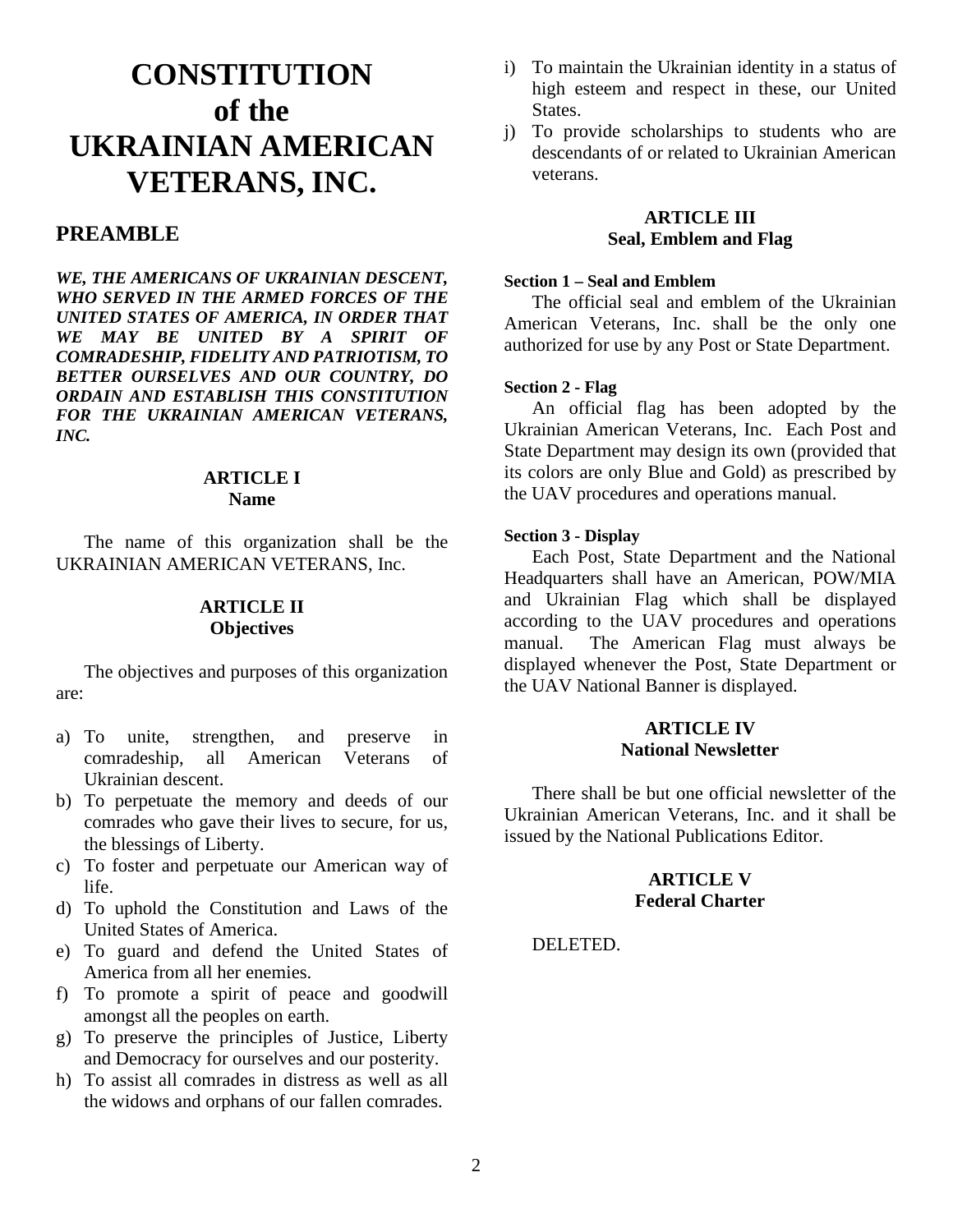# <span id="page-1-0"></span>**CONSTITUTION of the UKRAINIAN AMERICAN VETERANS, INC.**

# <span id="page-1-1"></span>**PREAMBLE**

*WE, THE AMERICANS OF UKRAINIAN DESCENT, WHO SERVED IN THE ARMED FORCES OF THE UNITED STATES OF AMERICA, IN ORDER THAT WE MAY BE UNITED BY A SPIRIT OF COMRADESHIP, FIDELITY AND PATRIOTISM, TO BETTER OURSELVES AND OUR COUNTRY, DO ORDAIN AND ESTABLISH THIS CONSTITUTION FOR THE UKRAINIAN AMERICAN VETERANS, INC.*

#### **ARTICLE I Name**

<span id="page-1-3"></span><span id="page-1-2"></span>The name of this organization shall be the UKRAINIAN AMERICAN VETERANS, Inc.

# **ARTICLE II Objectives**

The objectives and purposes of this organization are:

- a) To unite, strengthen, and preserve in comradeship, all American Veterans of Ukrainian descent.
- b) To perpetuate the memory and deeds of our comrades who gave their lives to secure, for us, the blessings of Liberty.
- c) To foster and perpetuate our American way of life.
- d) To uphold the Constitution and Laws of the United States of America.
- e) To guard and defend the United States of America from all her enemies.
- f) To promote a spirit of peace and goodwill amongst all the peoples on earth.
- g) To preserve the principles of Justice, Liberty and Democracy for ourselves and our posterity.
- h) To assist all comrades in distress as well as all the widows and orphans of our fallen comrades.
- i) To maintain the Ukrainian identity in a status of high esteem and respect in these, our United States.
- j) To provide scholarships to students who are descendants of or related to Ukrainian American veterans.

#### **ARTICLE III Seal, Emblem and Flag**

#### <span id="page-1-5"></span><span id="page-1-4"></span>**Section 1 – Seal and Emblem**

The official seal and emblem of the Ukrainian American Veterans, Inc. shall be the only one authorized for use by any Post or State Department.

#### <span id="page-1-6"></span>**Section 2 - Flag**

An official flag has been adopted by the Ukrainian American Veterans, Inc. Each Post and State Department may design its own (provided that its colors are only Blue and Gold) as prescribed by the UAV procedures and operations manual.

#### <span id="page-1-7"></span>**Section 3 - Display**

Each Post, State Department and the National Headquarters shall have an American, POW/MIA and Ukrainian Flag which shall be displayed according to the UAV procedures and operations manual. The American Flag must always be displayed whenever the Post, State Department or the UAV National Banner is displayed.

#### **ARTICLE IV National Newsletter**

<span id="page-1-8"></span>There shall be but one official newsletter of the Ukrainian American Veterans, Inc. and it shall be issued by the National Publications Editor.

# **ARTICLE V Federal Charter**

<span id="page-1-9"></span>DELETED.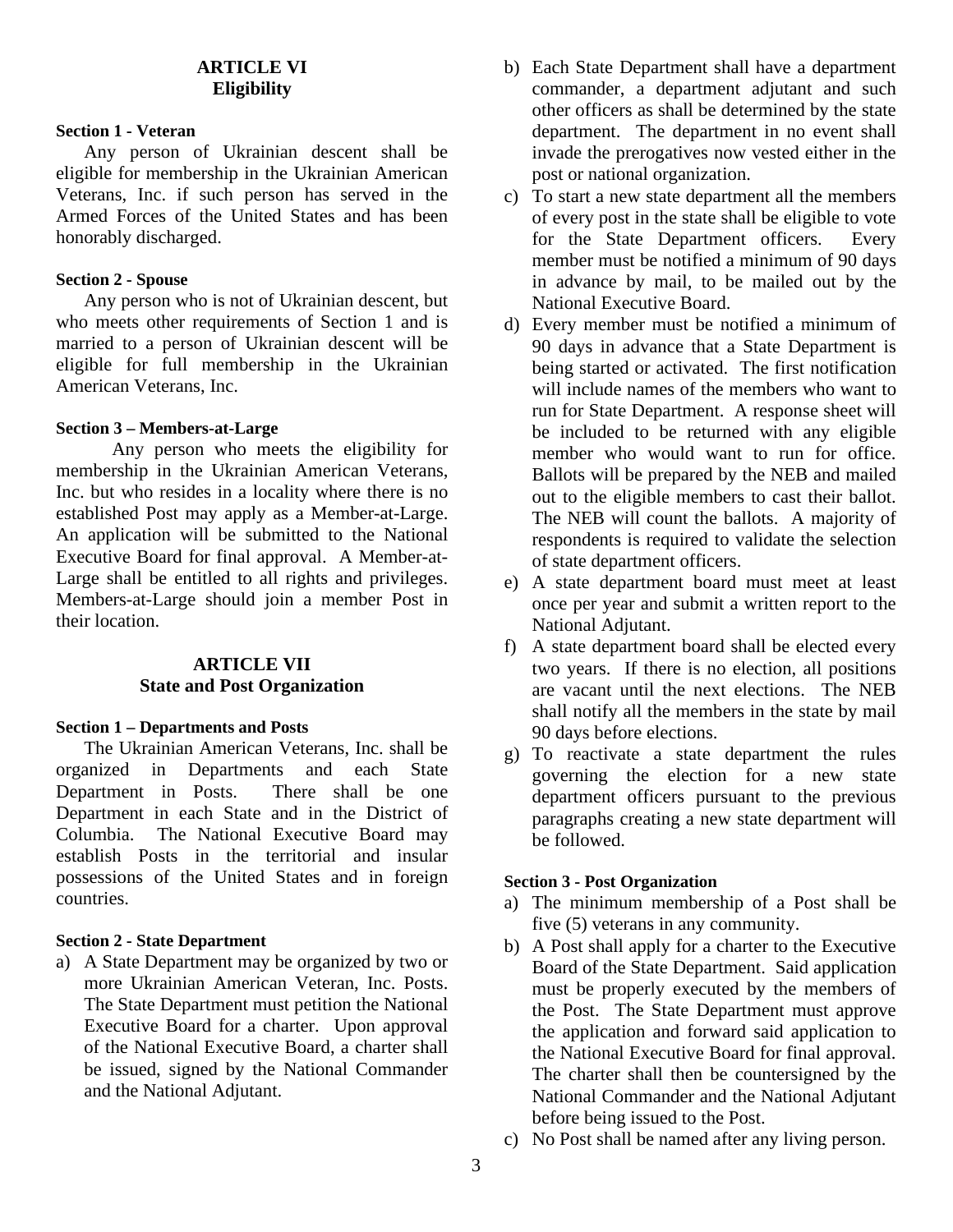# **ARTICLE VI Eligibility**

#### <span id="page-2-1"></span><span id="page-2-0"></span>**Section 1 - Veteran**

Any person of Ukrainian descent shall be eligible for membership in the Ukrainian American Veterans, Inc. if such person has served in the Armed Forces of the United States and has been honorably discharged.

#### <span id="page-2-2"></span>**Section 2 - Spouse**

Any person who is not of Ukrainian descent, but who meets other requirements of Section 1 and is married to a person of Ukrainian descent will be eligible for full membership in the Ukrainian American Veterans, Inc.

# <span id="page-2-3"></span>**Section 3 – Members-at-Large**

Any person who meets the eligibility for membership in the Ukrainian American Veterans, Inc. but who resides in a locality where there is no established Post may apply as a Member-at-Large. An application will be submitted to the National Executive Board for final approval. A Member-at-Large shall be entitled to all rights and privileges. Members-at-Large should join a member Post in their location.

# **ARTICLE VII State and Post Organization**

#### <span id="page-2-5"></span><span id="page-2-4"></span>**Section 1 – Departments and Posts**

The Ukrainian American Veterans, Inc. shall be organized in Departments and each State Department in Posts. There shall be one Department in each State and in the District of Columbia. The National Executive Board may establish Posts in the territorial and insular possessions of the United States and in foreign countries.

#### <span id="page-2-6"></span>**Section 2 - State Department**

a) A State Department may be organized by two or more Ukrainian American Veteran, Inc. Posts. The State Department must petition the National Executive Board for a charter. Upon approval of the National Executive Board, a charter shall be issued, signed by the National Commander and the National Adjutant.

- b) Each State Department shall have a department commander, a department adjutant and such other officers as shall be determined by the state department. The department in no event shall invade the prerogatives now vested either in the post or national organization.
- c) To start a new state department all the members of every post in the state shall be eligible to vote for the State Department officers. Every member must be notified a minimum of 90 days in advance by mail, to be mailed out by the National Executive Board.
- d) Every member must be notified a minimum of 90 days in advance that a State Department is being started or activated. The first notification will include names of the members who want to run for State Department. A response sheet will be included to be returned with any eligible member who would want to run for office. Ballots will be prepared by the NEB and mailed out to the eligible members to cast their ballot. The NEB will count the ballots. A majority of respondents is required to validate the selection of state department officers.
- e) A state department board must meet at least once per year and submit a written report to the National Adjutant.
- f) A state department board shall be elected every two years. If there is no election, all positions are vacant until the next elections. The NEB shall notify all the members in the state by mail 90 days before elections.
- g) To reactivate a state department the rules governing the election for a new state department officers pursuant to the previous paragraphs creating a new state department will be followed.

#### <span id="page-2-7"></span>**Section 3 - Post Organization**

- a) The minimum membership of a Post shall be five (5) veterans in any community.
- b) A Post shall apply for a charter to the Executive Board of the State Department. Said application must be properly executed by the members of the Post. The State Department must approve the application and forward said application to the National Executive Board for final approval. The charter shall then be countersigned by the National Commander and the National Adjutant before being issued to the Post.
- c) No Post shall be named after any living person.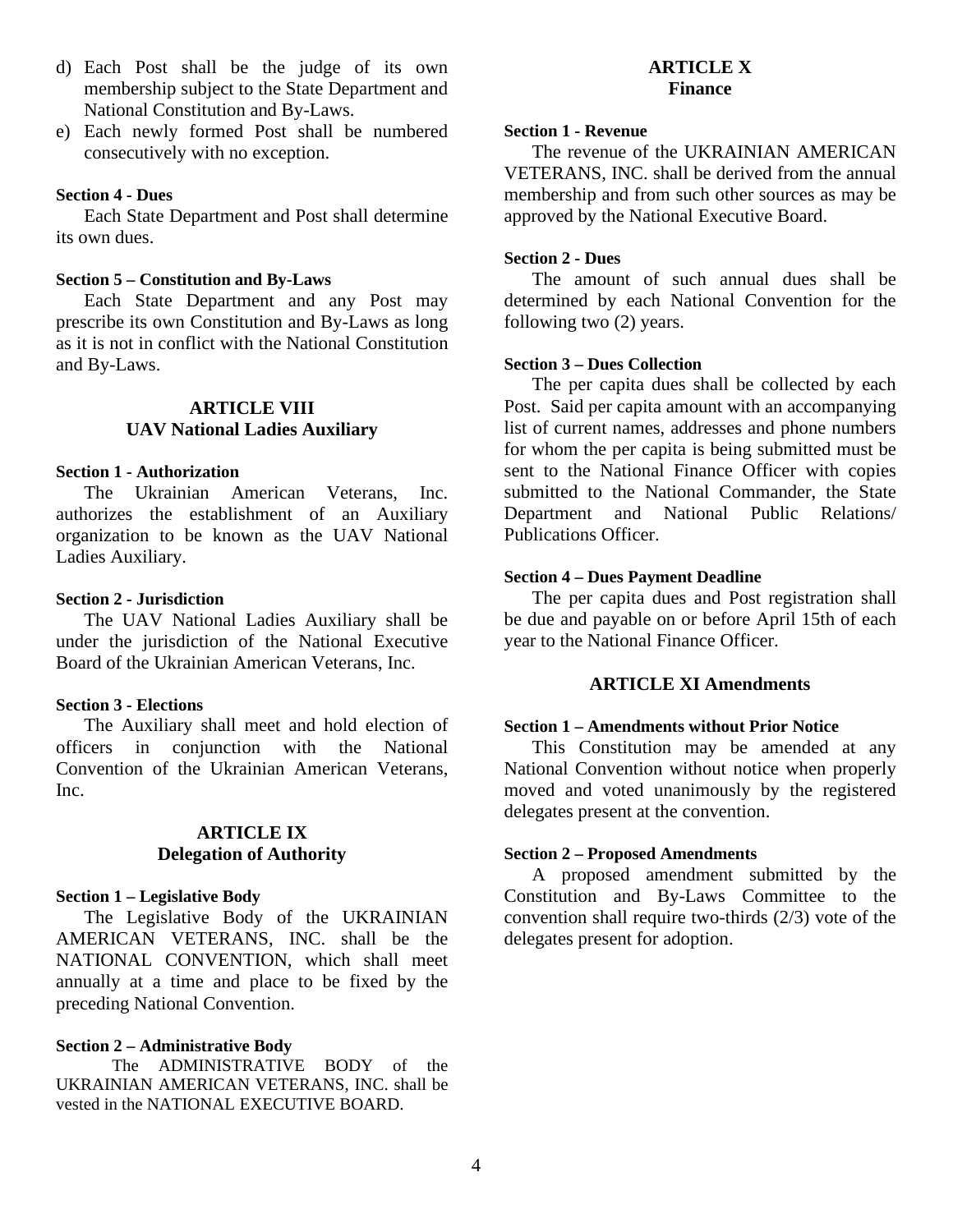- d) Each Post shall be the judge of its own membership subject to the State Department and National Constitution and By-Laws.
- e) Each newly formed Post shall be numbered consecutively with no exception.

#### <span id="page-3-0"></span>**Section 4 - Dues**

Each State Department and Post shall determine its own dues.

#### <span id="page-3-1"></span>**Section 5 – Constitution and By-Laws**

Each State Department and any Post may prescribe its own Constitution and By-Laws as long as it is not in conflict with the National Constitution and By-Laws.

#### **ARTICLE VIII UAV National Ladies Auxiliary**

# <span id="page-3-3"></span><span id="page-3-2"></span>**Section 1 - Authorization**

The Ukrainian American Veterans, Inc. authorizes the establishment of an Auxiliary organization to be known as the UAV National Ladies Auxiliary.

#### <span id="page-3-4"></span>**Section 2 - Jurisdiction**

The UAV National Ladies Auxiliary shall be under the jurisdiction of the National Executive Board of the Ukrainian American Veterans, Inc.

#### <span id="page-3-5"></span>**Section 3 - Elections**

The Auxiliary shall meet and hold election of officers in conjunction with the National Convention of the Ukrainian American Veterans, Inc.

# **ARTICLE IX Delegation of Authority**

#### <span id="page-3-7"></span><span id="page-3-6"></span>**Section 1 – Legislative Body**

The Legislative Body of the UKRAINIAN AMERICAN VETERANS, INC. shall be the NATIONAL CONVENTION, which shall meet annually at a time and place to be fixed by the preceding National Convention.

#### <span id="page-3-8"></span>**Section 2 – Administrative Body**

The ADMINISTRATIVE BODY of the UKRAINIAN AMERICAN VETERANS, INC. shall be vested in the NATIONAL EXECUTIVE BOARD.

# **ARTICLE X Finance**

#### <span id="page-3-10"></span><span id="page-3-9"></span>**Section 1 - Revenue**

The revenue of the UKRAINIAN AMERICAN VETERANS, INC. shall be derived from the annual membership and from such other sources as may be approved by the National Executive Board.

#### <span id="page-3-11"></span>**Section 2 - Dues**

The amount of such annual dues shall be determined by each National Convention for the following two (2) years.

#### <span id="page-3-12"></span>**Section 3 – Dues Collection**

The per capita dues shall be collected by each Post. Said per capita amount with an accompanying list of current names, addresses and phone numbers for whom the per capita is being submitted must be sent to the National Finance Officer with copies submitted to the National Commander, the State Department and National Public Relations/ Publications Officer.

#### <span id="page-3-13"></span>**Section 4 – Dues Payment Deadline**

The per capita dues and Post registration shall be due and payable on or before April 15th of each year to the National Finance Officer.

#### **ARTICLE XI Amendments**

#### <span id="page-3-15"></span><span id="page-3-14"></span>**Section 1 – Amendments without Prior Notice**

This Constitution may be amended at any National Convention without notice when properly moved and voted unanimously by the registered delegates present at the convention.

#### <span id="page-3-16"></span>**Section 2 – Proposed Amendments**

A proposed amendment submitted by the Constitution and By-Laws Committee to the convention shall require two-thirds (2/3) vote of the delegates present for adoption.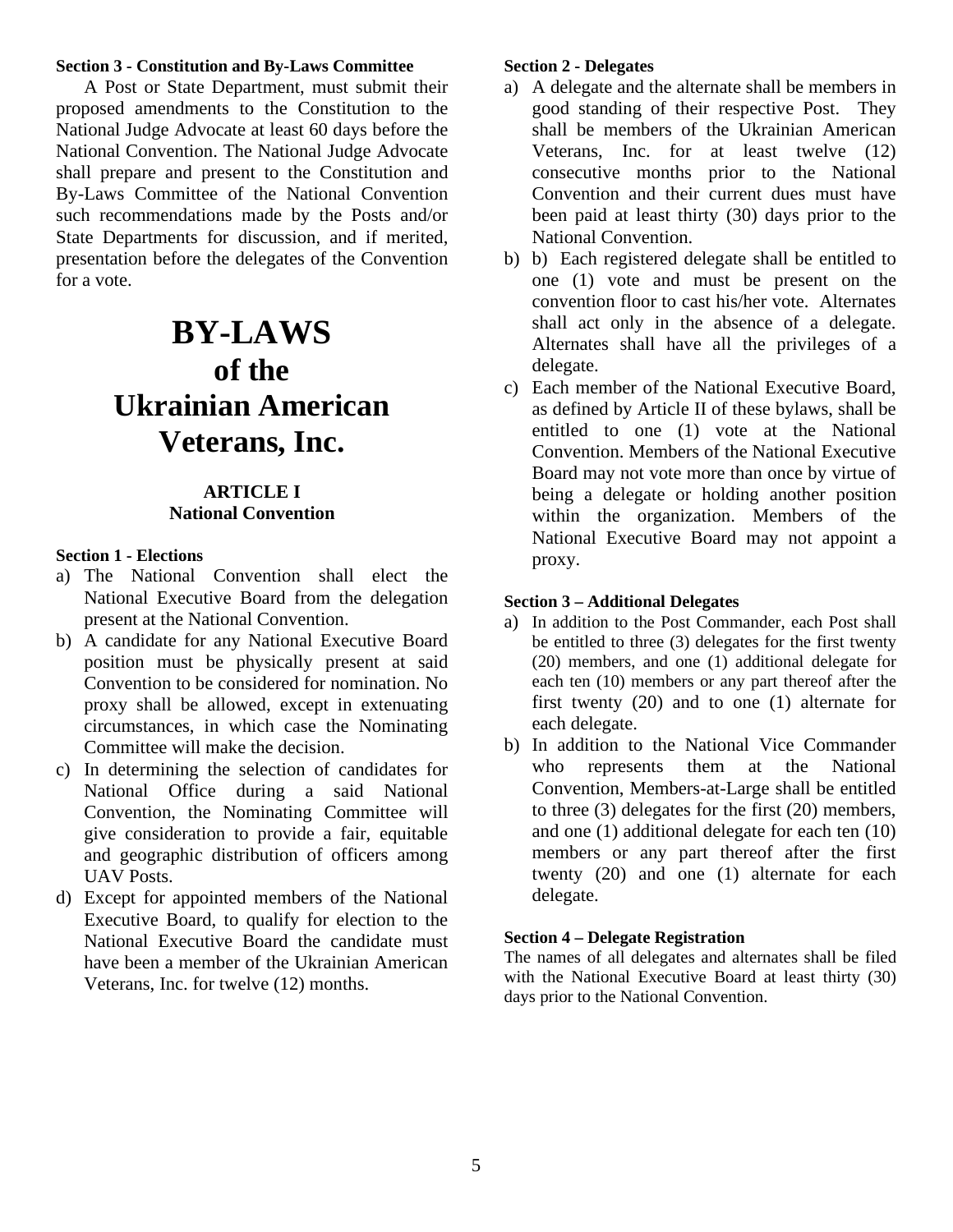#### <span id="page-4-0"></span>**Section 3 - Constitution and By-Laws Committee**

A Post or State Department, must submit their proposed amendments to the Constitution to the National Judge Advocate at least 60 days before the National Convention. The National Judge Advocate shall prepare and present to the Constitution and By-Laws Committee of the National Convention such recommendations made by the Posts and/or State Departments for discussion, and if merited, presentation before the delegates of the Convention for a vote.

# <span id="page-4-1"></span>**BY-LAWS of the Ukrainian American Veterans, Inc.**

#### **ARTICLE I National Convention**

#### <span id="page-4-3"></span><span id="page-4-2"></span>**Section 1 - Elections**

- a) The National Convention shall elect the National Executive Board from the delegation present at the National Convention.
- b) A candidate for any National Executive Board position must be physically present at said Convention to be considered for nomination. No proxy shall be allowed, except in extenuating circumstances, in which case the Nominating Committee will make the decision.
- c) In determining the selection of candidates for National Office during a said National Convention, the Nominating Committee will give consideration to provide a fair, equitable and geographic distribution of officers among UAV Posts.
- d) Except for appointed members of the National Executive Board, to qualify for election to the National Executive Board the candidate must have been a member of the Ukrainian American Veterans, Inc. for twelve (12) months.

#### <span id="page-4-4"></span>**Section 2 - Delegates**

- a) A delegate and the alternate shall be members in good standing of their respective Post. They shall be members of the Ukrainian American Veterans, Inc. for at least twelve (12) consecutive months prior to the National Convention and their current dues must have been paid at least thirty (30) days prior to the National Convention.
- b) b) Each registered delegate shall be entitled to one (1) vote and must be present on the convention floor to cast his/her vote. Alternates shall act only in the absence of a delegate. Alternates shall have all the privileges of a delegate.
- c) Each member of the National Executive Board, as defined by Article II of these bylaws, shall be entitled to one (1) vote at the National Convention. Members of the National Executive Board may not vote more than once by virtue of being a delegate or holding another position within the organization. Members of the National Executive Board may not appoint a proxy.

#### <span id="page-4-5"></span>**Section 3 – Additional Delegates**

- a) In addition to the Post Commander, each Post shall be entitled to three (3) delegates for the first twenty (20) members, and one (1) additional delegate for each ten (10) members or any part thereof after the first twenty (20) and to one (1) alternate for each delegate.
- b) In addition to the National Vice Commander who represents them at the National Convention, Members-at-Large shall be entitled to three (3) delegates for the first (20) members, and one (1) additional delegate for each ten (10) members or any part thereof after the first twenty (20) and one (1) alternate for each delegate.

#### <span id="page-4-6"></span>**Section 4 – Delegate Registration**

The names of all delegates and alternates shall be filed with the National Executive Board at least thirty (30) days prior to the National Convention.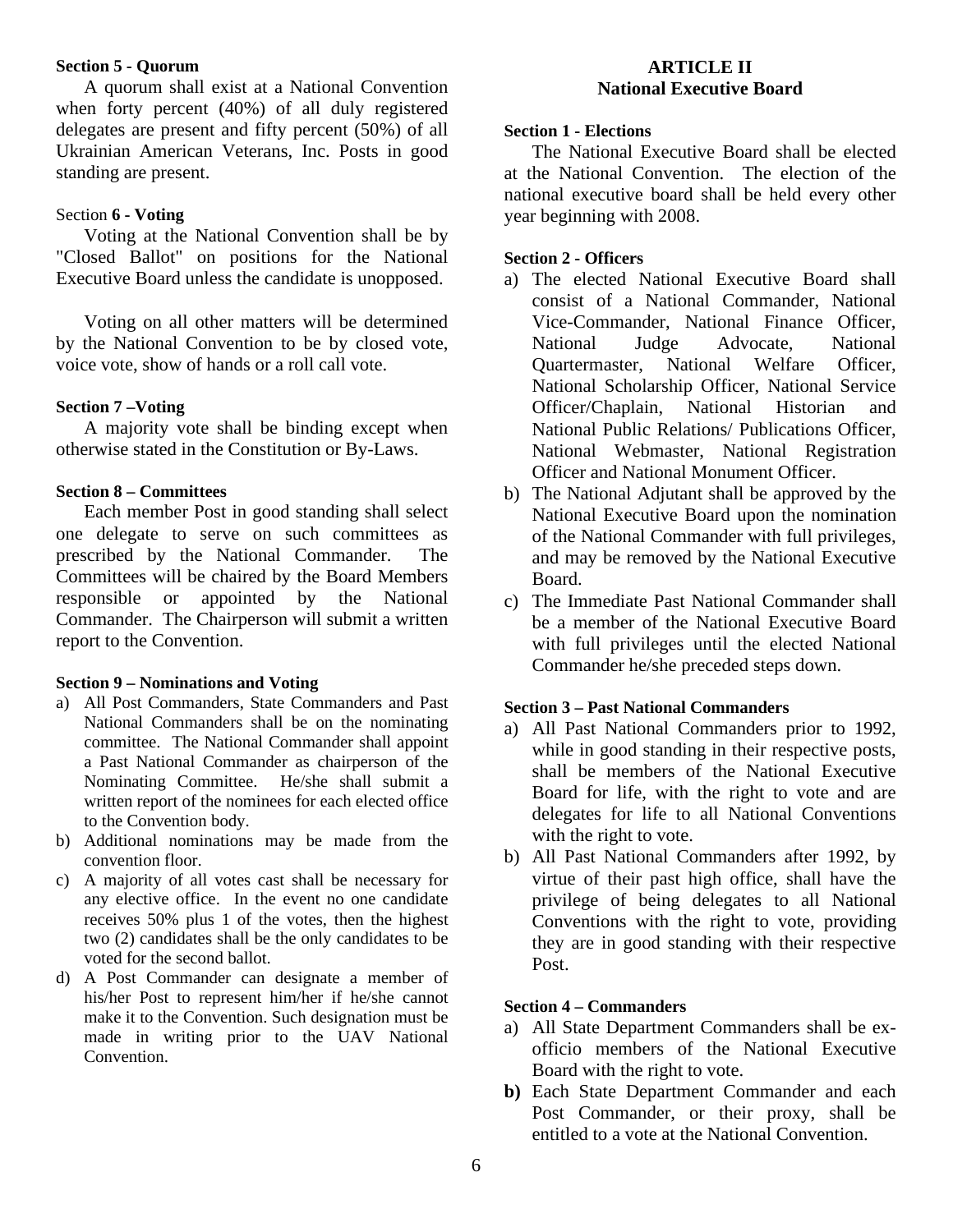#### <span id="page-5-0"></span>**Section 5 - Quorum**

A quorum shall exist at a National Convention when forty percent (40%) of all duly registered delegates are present and fifty percent (50%) of all Ukrainian American Veterans, Inc. Posts in good standing are present.

#### <span id="page-5-1"></span>Section **6 - Voting**

Voting at the National Convention shall be by "Closed Ballot" on positions for the National Executive Board unless the candidate is unopposed.

Voting on all other matters will be determined by the National Convention to be by closed vote, voice vote, show of hands or a roll call vote.

#### <span id="page-5-2"></span>**Section 7 –Voting**

A majority vote shall be binding except when otherwise stated in the Constitution or By-Laws.

#### <span id="page-5-3"></span>**Section 8 – Committees**

Each member Post in good standing shall select one delegate to serve on such committees as prescribed by the National Commander. The Committees will be chaired by the Board Members responsible or appointed by the National Commander. The Chairperson will submit a written report to the Convention.

#### <span id="page-5-4"></span>**Section 9 – Nominations and Voting**

- a) All Post Commanders, State Commanders and Past National Commanders shall be on the nominating committee. The National Commander shall appoint a Past National Commander as chairperson of the Nominating Committee. He/she shall submit a written report of the nominees for each elected office to the Convention body.
- b) Additional nominations may be made from the convention floor.
- c) A majority of all votes cast shall be necessary for any elective office. In the event no one candidate receives 50% plus 1 of the votes, then the highest two (2) candidates shall be the only candidates to be voted for the second ballot.
- d) A Post Commander can designate a member of his/her Post to represent him/her if he/she cannot make it to the Convention. Such designation must be made in writing prior to the UAV National Convention.

# **ARTICLE II National Executive Board**

#### <span id="page-5-6"></span><span id="page-5-5"></span>**Section 1 - Elections**

The National Executive Board shall be elected at the National Convention. The election of the national executive board shall be held every other year beginning with 2008.

#### <span id="page-5-7"></span>**Section 2 - Officers**

- a) The elected National Executive Board shall consist of a National Commander, National Vice-Commander, National Finance Officer, National Judge Advocate, National Quartermaster, National Welfare Officer, National Scholarship Officer, National Service Officer/Chaplain, National Historian and National Public Relations/ Publications Officer, National Webmaster, National Registration Officer and National Monument Officer.
- b) The National Adjutant shall be approved by the National Executive Board upon the nomination of the National Commander with full privileges, and may be removed by the National Executive Board.
- c) The Immediate Past National Commander shall be a member of the National Executive Board with full privileges until the elected National Commander he/she preceded steps down.

#### <span id="page-5-8"></span>**Section 3 – Past National Commanders**

- a) All Past National Commanders prior to 1992, while in good standing in their respective posts, shall be members of the National Executive Board for life, with the right to vote and are delegates for life to all National Conventions with the right to vote.
- b) All Past National Commanders after 1992, by virtue of their past high office, shall have the privilege of being delegates to all National Conventions with the right to vote, providing they are in good standing with their respective Post.

#### <span id="page-5-9"></span>**Section 4 – Commanders**

- a) All State Department Commanders shall be exofficio members of the National Executive Board with the right to vote.
- **b)** Each State Department Commander and each Post Commander, or their proxy, shall be entitled to a vote at the National Convention.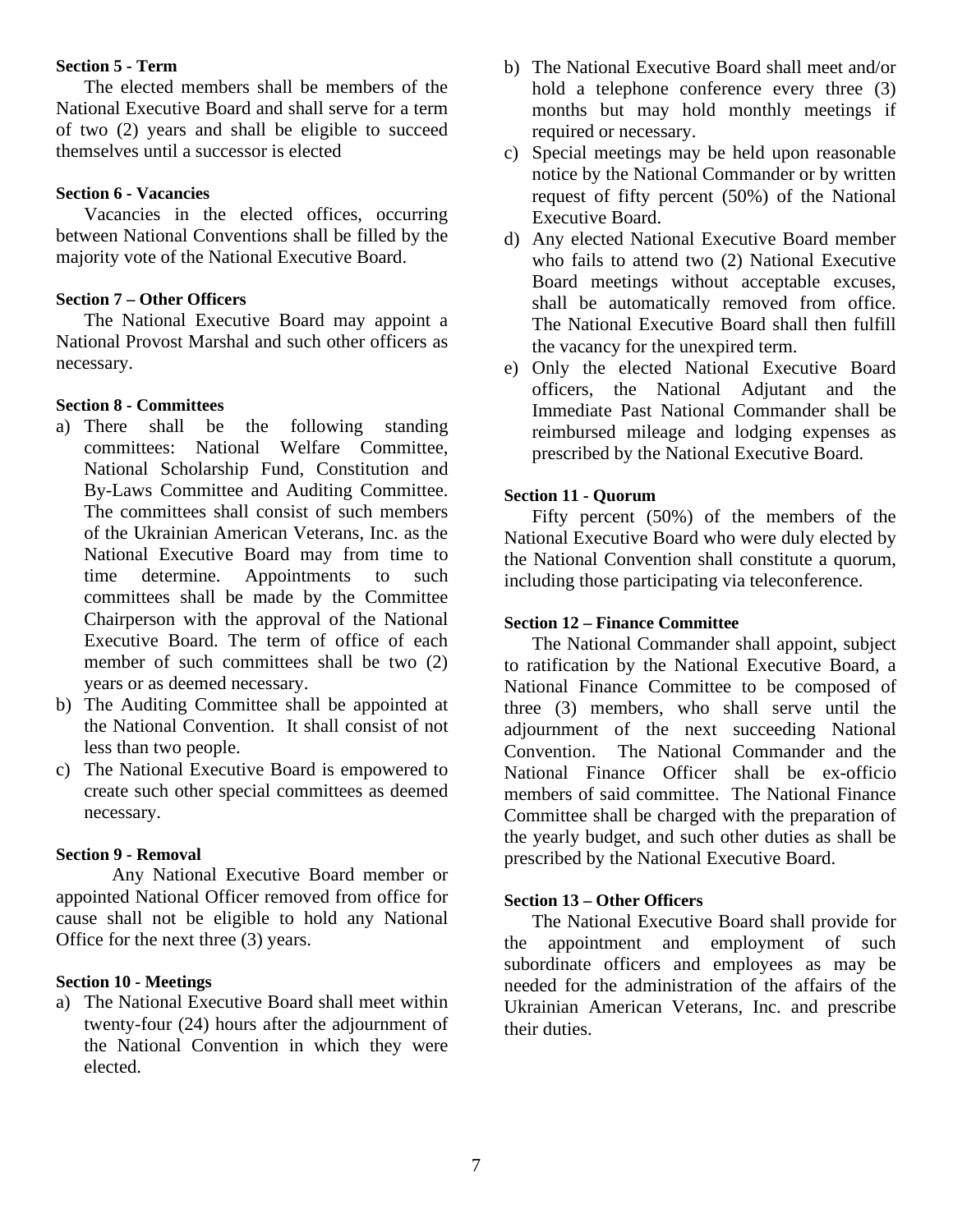#### <span id="page-6-0"></span>**Section 5 - Term**

The elected members shall be members of the National Executive Board and shall serve for a term of two (2) years and shall be eligible to succeed themselves until a successor is elected

# <span id="page-6-1"></span>**Section 6 - Vacancies**

Vacancies in the elected offices, occurring between National Conventions shall be filled by the majority vote of the National Executive Board.

#### <span id="page-6-2"></span>**Section 7 – Other Officers**

The National Executive Board may appoint a National Provost Marshal and such other officers as necessary.

#### <span id="page-6-3"></span>**Section 8 - Committees**

- a) There shall be the following standing committees: National Welfare Committee, National Scholarship Fund, Constitution and By-Laws Committee and Auditing Committee. The committees shall consist of such members of the Ukrainian American Veterans, Inc. as the National Executive Board may from time to time determine. Appointments to such committees shall be made by the Committee Chairperson with the approval of the National Executive Board. The term of office of each member of such committees shall be two  $(2)$ years or as deemed necessary.
- b) The Auditing Committee shall be appointed at the National Convention. It shall consist of not less than two people.
- c) The National Executive Board is empowered to create such other special committees as deemed necessary.

#### <span id="page-6-4"></span>**Section 9 - Removal**

Any National Executive Board member or appointed National Officer removed from office for cause shall not be eligible to hold any National Office for the next three (3) years.

#### <span id="page-6-5"></span>**Section 10 - Meetings**

a) The National Executive Board shall meet within twenty-four (24) hours after the adjournment of the National Convention in which they were elected.

- b) The National Executive Board shall meet and/or hold a telephone conference every three (3) months but may hold monthly meetings if required or necessary.
- c) Special meetings may be held upon reasonable notice by the National Commander or by written request of fifty percent (50%) of the National Executive Board.
- d) Any elected National Executive Board member who fails to attend two (2) National Executive Board meetings without acceptable excuses, shall be automatically removed from office. The National Executive Board shall then fulfill the vacancy for the unexpired term.
- e) Only the elected National Executive Board officers, the National Adjutant and the Immediate Past National Commander shall be reimbursed mileage and lodging expenses as prescribed by the National Executive Board.

#### <span id="page-6-6"></span>**Section 11 - Quorum**

Fifty percent (50%) of the members of the National Executive Board who were duly elected by the National Convention shall constitute a quorum, including those participating via teleconference.

#### <span id="page-6-7"></span>**Section 12 – Finance Committee**

The National Commander shall appoint, subject to ratification by the National Executive Board, a National Finance Committee to be composed of three (3) members, who shall serve until the adjournment of the next succeeding National Convention. The National Commander and the National Finance Officer shall be ex-officio members of said committee. The National Finance Committee shall be charged with the preparation of the yearly budget, and such other duties as shall be prescribed by the National Executive Board.

#### <span id="page-6-8"></span>**Section 13 – Other Officers**

The National Executive Board shall provide for the appointment and employment of such subordinate officers and employees as may be needed for the administration of the affairs of the Ukrainian American Veterans, Inc. and prescribe their duties.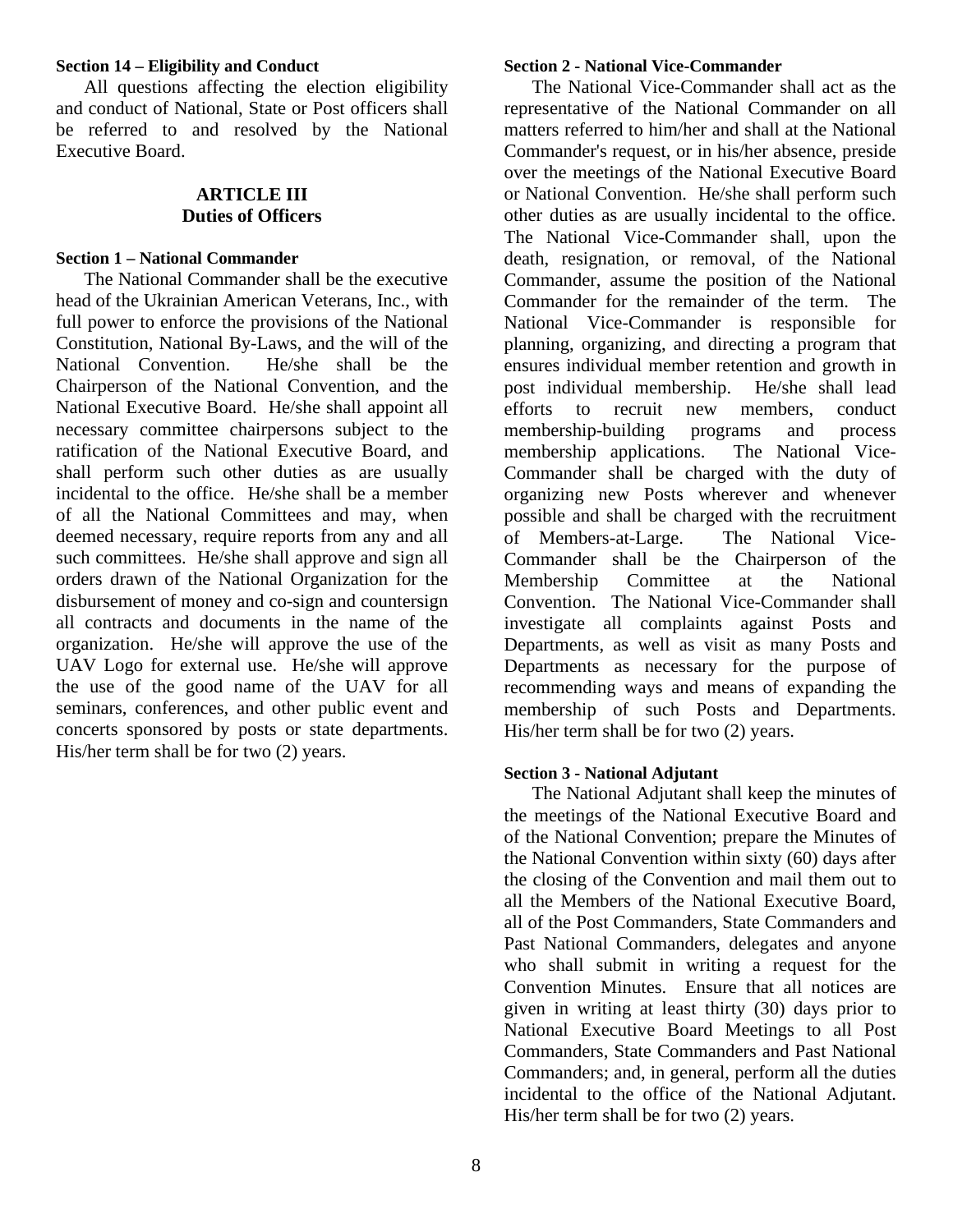#### <span id="page-7-0"></span>**Section 14 – Eligibility and Conduct**

All questions affecting the election eligibility and conduct of National, State or Post officers shall be referred to and resolved by the National Executive Board.

#### **ARTICLE III Duties of Officers**

#### <span id="page-7-2"></span><span id="page-7-1"></span>**Section 1 – National Commander**

The National Commander shall be the executive head of the Ukrainian American Veterans, Inc., with full power to enforce the provisions of the National Constitution, National By-Laws, and the will of the National Convention. He/she shall be the Chairperson of the National Convention, and the National Executive Board. He/she shall appoint all necessary committee chairpersons subject to the ratification of the National Executive Board, and shall perform such other duties as are usually incidental to the office. He/she shall be a member of all the National Committees and may, when deemed necessary, require reports from any and all such committees. He/she shall approve and sign all orders drawn of the National Organization for the disbursement of money and co-sign and countersign all contracts and documents in the name of the organization. He/she will approve the use of the UAV Logo for external use. He/she will approve the use of the good name of the UAV for all seminars, conferences, and other public event and concerts sponsored by posts or state departments. His/her term shall be for two (2) years.

#### <span id="page-7-3"></span>**Section 2 - National Vice-Commander**

The National Vice-Commander shall act as the representative of the National Commander on all matters referred to him/her and shall at the National Commander's request, or in his/her absence, preside over the meetings of the National Executive Board or National Convention. He/she shall perform such other duties as are usually incidental to the office. The National Vice-Commander shall, upon the death, resignation, or removal, of the National Commander, assume the position of the National Commander for the remainder of the term. The National Vice-Commander is responsible for planning, organizing, and directing a program that ensures individual member retention and growth in post individual membership. He/she shall lead efforts to recruit new members, conduct membership-building programs and process membership applications. The National Vice-Commander shall be charged with the duty of organizing new Posts wherever and whenever possible and shall be charged with the recruitment of Members-at-Large. The National Vice-Commander shall be the Chairperson of the Membership Committee at the National Convention. The National Vice-Commander shall investigate all complaints against Posts and Departments, as well as visit as many Posts and Departments as necessary for the purpose of recommending ways and means of expanding the membership of such Posts and Departments. His/her term shall be for two (2) years.

#### <span id="page-7-4"></span>**Section 3 - National Adjutant**

The National Adjutant shall keep the minutes of the meetings of the National Executive Board and of the National Convention; prepare the Minutes of the National Convention within sixty (60) days after the closing of the Convention and mail them out to all the Members of the National Executive Board, all of the Post Commanders, State Commanders and Past National Commanders, delegates and anyone who shall submit in writing a request for the Convention Minutes. Ensure that all notices are given in writing at least thirty (30) days prior to National Executive Board Meetings to all Post Commanders, State Commanders and Past National Commanders; and, in general, perform all the duties incidental to the office of the National Adjutant. His/her term shall be for two (2) years.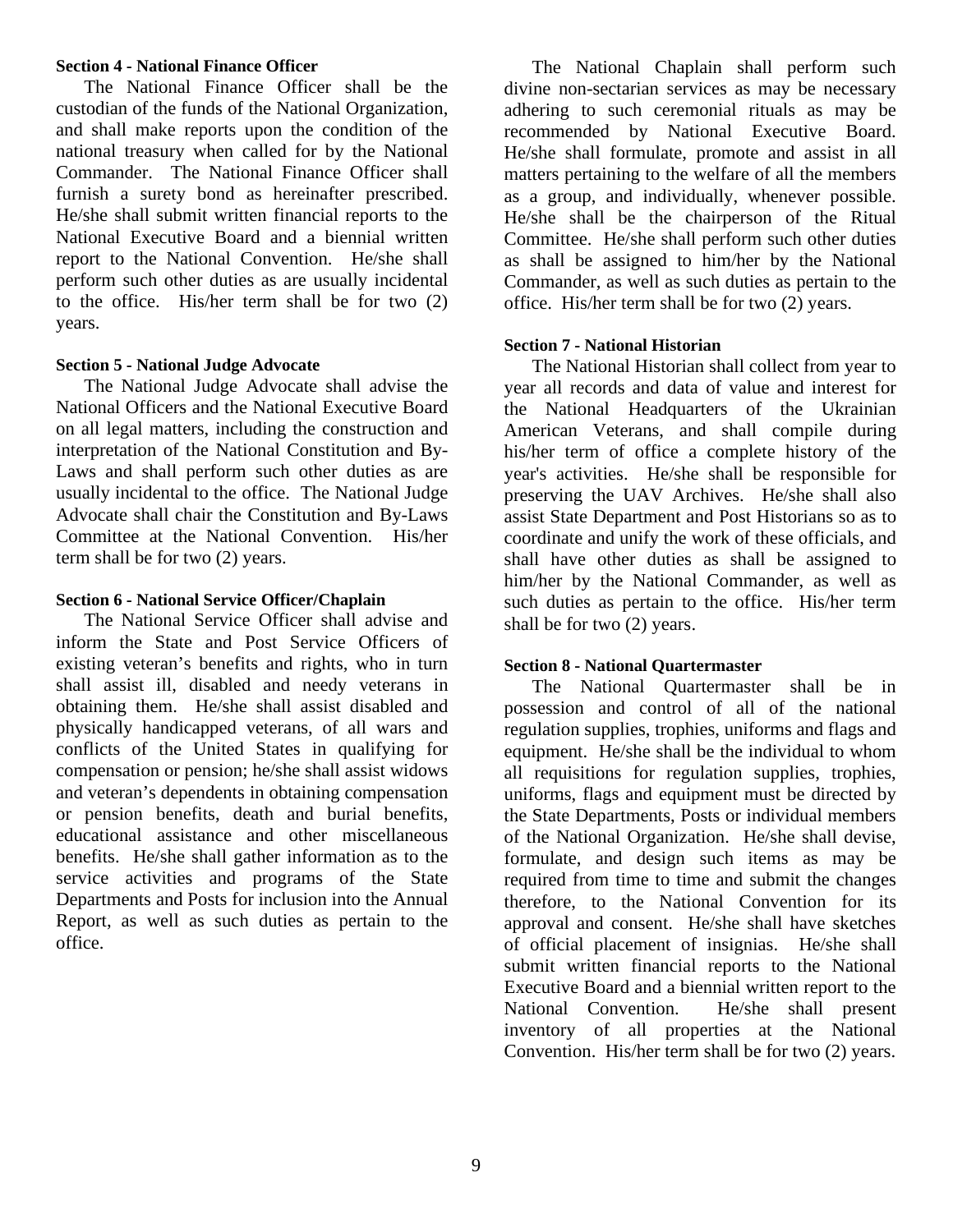#### <span id="page-8-0"></span>**Section 4 - National Finance Officer**

The National Finance Officer shall be the custodian of the funds of the National Organization, and shall make reports upon the condition of the national treasury when called for by the National Commander. The National Finance Officer shall furnish a surety bond as hereinafter prescribed. He/she shall submit written financial reports to the National Executive Board and a biennial written report to the National Convention. He/she shall perform such other duties as are usually incidental to the office. His/her term shall be for two (2) years.

#### <span id="page-8-1"></span>**Section 5 - National Judge Advocate**

The National Judge Advocate shall advise the National Officers and the National Executive Board on all legal matters, including the construction and interpretation of the National Constitution and By-Laws and shall perform such other duties as are usually incidental to the office. The National Judge Advocate shall chair the Constitution and By-Laws Committee at the National Convention. His/her term shall be for two (2) years.

#### <span id="page-8-2"></span>**Section 6 - National Service Officer/Chaplain**

The National Service Officer shall advise and inform the State and Post Service Officers of existing veteran's benefits and rights, who in turn shall assist ill, disabled and needy veterans in obtaining them. He/she shall assist disabled and physically handicapped veterans, of all wars and conflicts of the United States in qualifying for compensation or pension; he/she shall assist widows and veteran's dependents in obtaining compensation or pension benefits, death and burial benefits, educational assistance and other miscellaneous benefits. He/she shall gather information as to the service activities and programs of the State Departments and Posts for inclusion into the Annual Report, as well as such duties as pertain to the office.

The National Chaplain shall perform such divine non-sectarian services as may be necessary adhering to such ceremonial rituals as may be recommended by National Executive Board. He/she shall formulate, promote and assist in all matters pertaining to the welfare of all the members as a group, and individually, whenever possible. He/she shall be the chairperson of the Ritual Committee. He/she shall perform such other duties as shall be assigned to him/her by the National Commander, as well as such duties as pertain to the office. His/her term shall be for two (2) years.

#### <span id="page-8-3"></span>**Section 7 - National Historian**

The National Historian shall collect from year to year all records and data of value and interest for the National Headquarters of the Ukrainian American Veterans, and shall compile during his/her term of office a complete history of the year's activities. He/she shall be responsible for preserving the UAV Archives. He/she shall also assist State Department and Post Historians so as to coordinate and unify the work of these officials, and shall have other duties as shall be assigned to him/her by the National Commander, as well as such duties as pertain to the office. His/her term shall be for two (2) years.

#### <span id="page-8-4"></span>**Section 8 - National Quartermaster**

The National Quartermaster shall be in possession and control of all of the national regulation supplies, trophies, uniforms and flags and equipment. He/she shall be the individual to whom all requisitions for regulation supplies, trophies, uniforms, flags and equipment must be directed by the State Departments, Posts or individual members of the National Organization. He/she shall devise, formulate, and design such items as may be required from time to time and submit the changes therefore, to the National Convention for its approval and consent. He/she shall have sketches of official placement of insignias. He/she shall submit written financial reports to the National Executive Board and a biennial written report to the National Convention. He/she shall present inventory of all properties at the National Convention. His/her term shall be for two (2) years.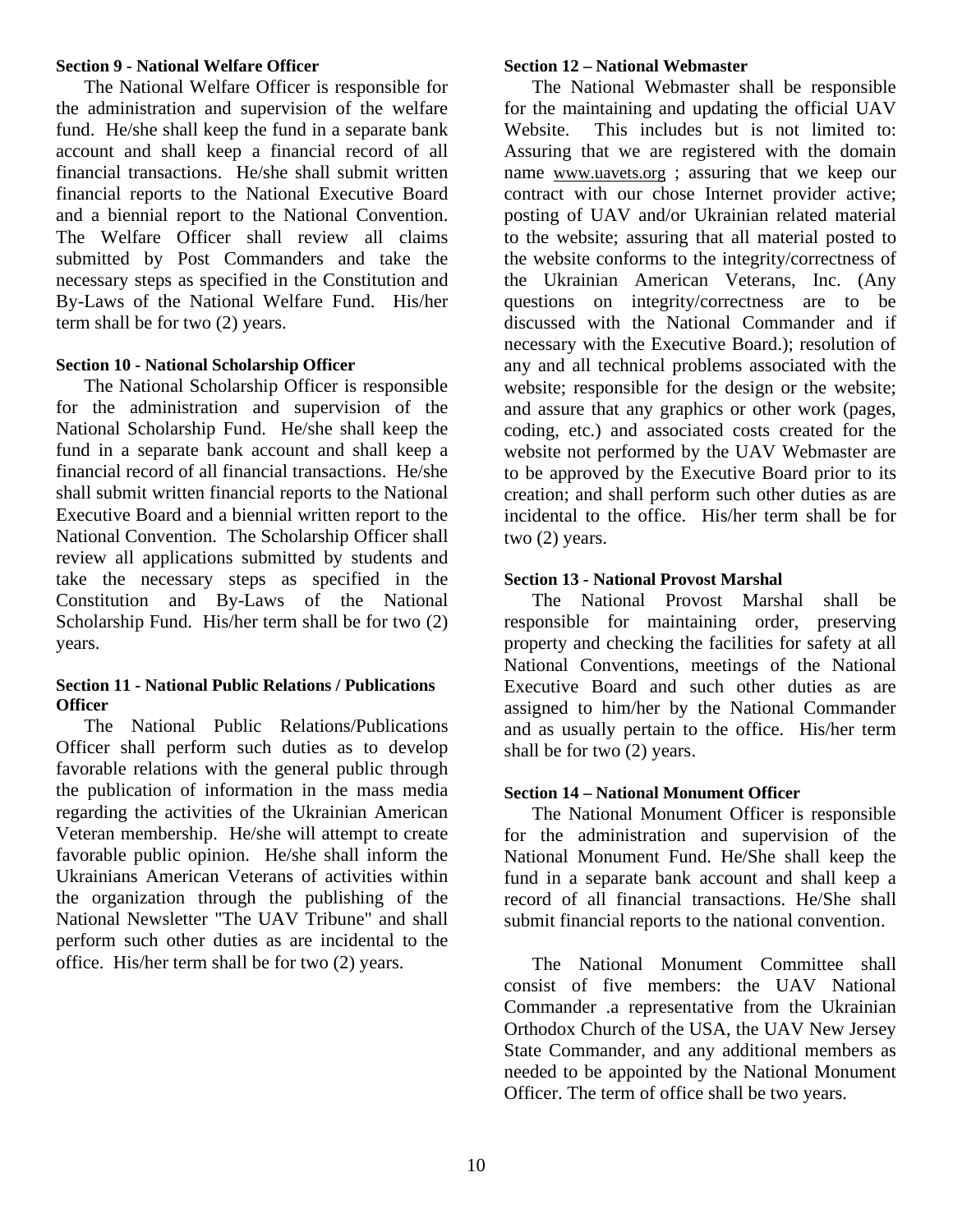#### <span id="page-9-0"></span>**Section 9 - National Welfare Officer**

The National Welfare Officer is responsible for the administration and supervision of the welfare fund. He/she shall keep the fund in a separate bank account and shall keep a financial record of all financial transactions. He/she shall submit written financial reports to the National Executive Board and a biennial report to the National Convention. The Welfare Officer shall review all claims submitted by Post Commanders and take the necessary steps as specified in the Constitution and By-Laws of the National Welfare Fund. His/her term shall be for two (2) years.

#### <span id="page-9-1"></span>**Section 10 - National Scholarship Officer**

The National Scholarship Officer is responsible for the administration and supervision of the National Scholarship Fund. He/she shall keep the fund in a separate bank account and shall keep a financial record of all financial transactions. He/she shall submit written financial reports to the National Executive Board and a biennial written report to the National Convention. The Scholarship Officer shall review all applications submitted by students and take the necessary steps as specified in the Constitution and By-Laws of the National Scholarship Fund. His/her term shall be for two (2) years.

#### <span id="page-9-2"></span>**Section 11 - National Public Relations / Publications Officer**

The National Public Relations/Publications Officer shall perform such duties as to develop favorable relations with the general public through the publication of information in the mass media regarding the activities of the Ukrainian American Veteran membership. He/she will attempt to create favorable public opinion. He/she shall inform the Ukrainians American Veterans of activities within the organization through the publishing of the National Newsletter "The UAV Tribune" and shall perform such other duties as are incidental to the office. His/her term shall be for two (2) years.

#### <span id="page-9-3"></span>**Section 12 – National Webmaster**

The National Webmaster shall be responsible for the maintaining and updating the official UAV Website. This includes but is not limited to: Assuring that we are registered with the domain name [www.uavets.org](http://www.uavets.org/) ; assuring that we keep our contract with our chose Internet provider active; posting of UAV and/or Ukrainian related material to the website; assuring that all material posted to the website conforms to the integrity/correctness of the Ukrainian American Veterans, Inc. (Any questions on integrity/correctness are to be discussed with the National Commander and if necessary with the Executive Board.); resolution of any and all technical problems associated with the website; responsible for the design or the website; and assure that any graphics or other work (pages, coding, etc.) and associated costs created for the website not performed by the UAV Webmaster are to be approved by the Executive Board prior to its creation; and shall perform such other duties as are incidental to the office. His/her term shall be for two (2) years.

#### <span id="page-9-4"></span>**Section 13 - National Provost Marshal**

The National Provost Marshal shall be responsible for maintaining order, preserving property and checking the facilities for safety at all National Conventions, meetings of the National Executive Board and such other duties as are assigned to him/her by the National Commander and as usually pertain to the office. His/her term shall be for two (2) years.

#### <span id="page-9-5"></span>**Section 14 – National Monument Officer**

The National Monument Officer is responsible for the administration and supervision of the National Monument Fund. He/She shall keep the fund in a separate bank account and shall keep a record of all financial transactions. He/She shall submit financial reports to the national convention.

The National Monument Committee shall consist of five members: the UAV National Commander .a representative from the Ukrainian Orthodox Church of the USA, the UAV New Jersey State Commander, and any additional members as needed to be appointed by the National Monument Officer. The term of office shall be two years.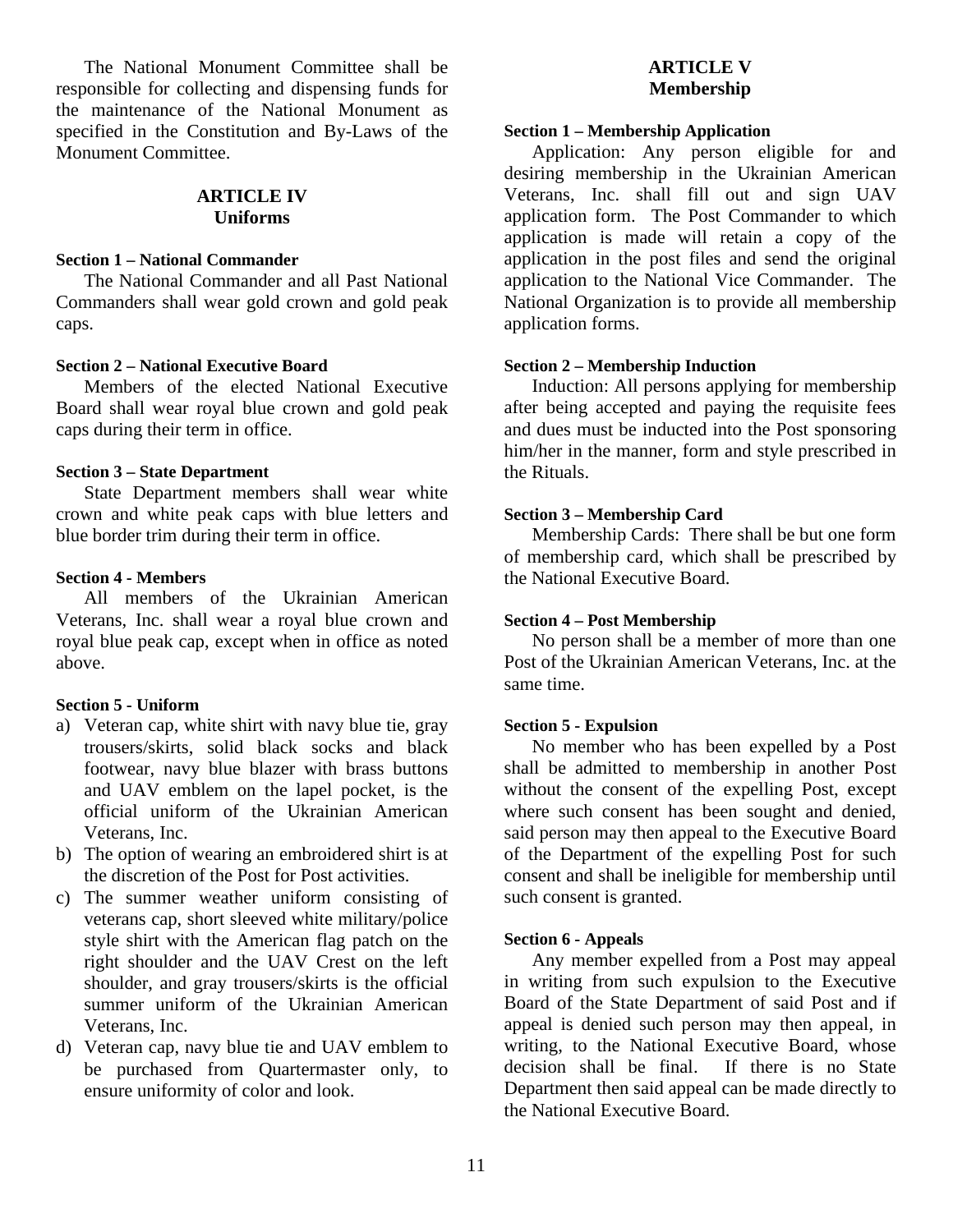The National Monument Committee shall be responsible for collecting and dispensing funds for the maintenance of the National Monument as specified in the Constitution and By-Laws of the Monument Committee.

# **ARTICLE IV Uniforms**

#### <span id="page-10-1"></span><span id="page-10-0"></span>**Section 1 – National Commander**

The National Commander and all Past National Commanders shall wear gold crown and gold peak caps.

#### <span id="page-10-2"></span>**Section 2 – National Executive Board**

Members of the elected National Executive Board shall wear royal blue crown and gold peak caps during their term in office.

#### <span id="page-10-3"></span>**Section 3 – State Department**

State Department members shall wear white crown and white peak caps with blue letters and blue border trim during their term in office.

#### <span id="page-10-4"></span>**Section 4 - Members**

All members of the Ukrainian American Veterans, Inc. shall wear a royal blue crown and royal blue peak cap, except when in office as noted above.

#### <span id="page-10-5"></span>**Section 5 - Uniform**

- a) Veteran cap, white shirt with navy blue tie, gray trousers/skirts, solid black socks and black footwear, navy blue blazer with brass buttons and UAV emblem on the lapel pocket, is the official uniform of the Ukrainian American Veterans, Inc.
- b) The option of wearing an embroidered shirt is at the discretion of the Post for Post activities.
- c) The summer weather uniform consisting of veterans cap, short sleeved white military/police style shirt with the American flag patch on the right shoulder and the UAV Crest on the left shoulder, and gray trousers/skirts is the official summer uniform of the Ukrainian American Veterans, Inc.
- d) Veteran cap, navy blue tie and UAV emblem to be purchased from Quartermaster only, to ensure uniformity of color and look.

# **ARTICLE V Membership**

#### <span id="page-10-7"></span><span id="page-10-6"></span>**Section 1 – Membership Application**

Application: Any person eligible for and desiring membership in the Ukrainian American Veterans, Inc. shall fill out and sign UAV application form. The Post Commander to which application is made will retain a copy of the application in the post files and send the original application to the National Vice Commander. The National Organization is to provide all membership application forms.

#### <span id="page-10-8"></span>**Section 2 – Membership Induction**

Induction: All persons applying for membership after being accepted and paying the requisite fees and dues must be inducted into the Post sponsoring him/her in the manner, form and style prescribed in the Rituals.

#### <span id="page-10-9"></span>**Section 3 – Membership Card**

Membership Cards: There shall be but one form of membership card, which shall be prescribed by the National Executive Board.

#### <span id="page-10-10"></span>**Section 4 – Post Membership**

No person shall be a member of more than one Post of the Ukrainian American Veterans, Inc. at the same time.

#### <span id="page-10-11"></span>**Section 5 - Expulsion**

No member who has been expelled by a Post shall be admitted to membership in another Post without the consent of the expelling Post, except where such consent has been sought and denied, said person may then appeal to the Executive Board of the Department of the expelling Post for such consent and shall be ineligible for membership until such consent is granted.

#### <span id="page-10-12"></span>**Section 6 - Appeals**

Any member expelled from a Post may appeal in writing from such expulsion to the Executive Board of the State Department of said Post and if appeal is denied such person may then appeal, in writing, to the National Executive Board, whose decision shall be final. If there is no State Department then said appeal can be made directly to the National Executive Board.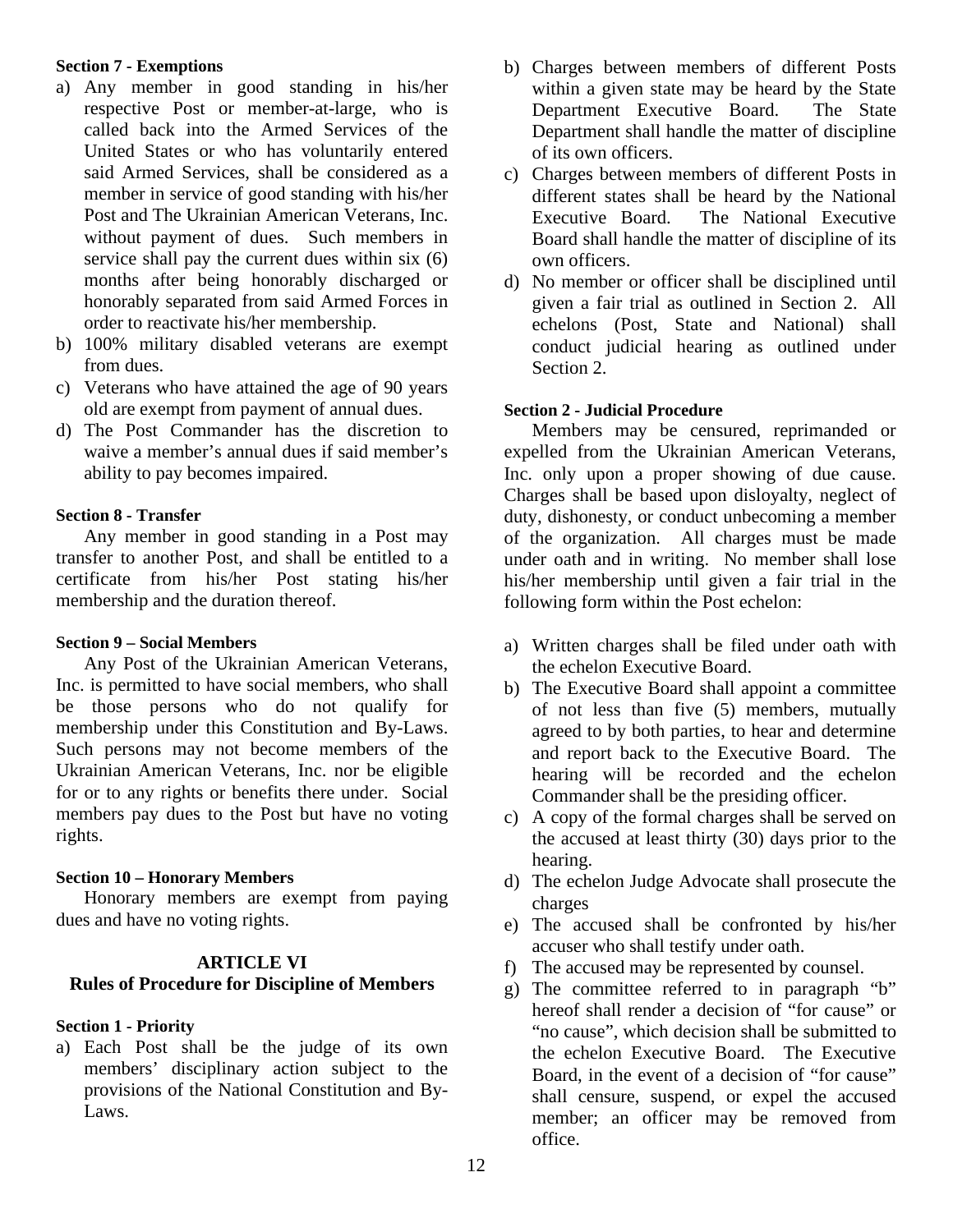#### <span id="page-11-0"></span>**Section 7 - Exemptions**

- a) Any member in good standing in his/her respective Post or member-at-large, who is called back into the Armed Services of the United States or who has voluntarily entered said Armed Services, shall be considered as a member in service of good standing with his/her Post and The Ukrainian American Veterans, Inc. without payment of dues. Such members in service shall pay the current dues within six (6) months after being honorably discharged or honorably separated from said Armed Forces in order to reactivate his/her membership.
- b) 100% military disabled veterans are exempt from dues.
- c) Veterans who have attained the age of 90 years old are exempt from payment of annual dues.
- d) The Post Commander has the discretion to waive a member's annual dues if said member's ability to pay becomes impaired.

#### <span id="page-11-1"></span>**Section 8 - Transfer**

Any member in good standing in a Post may transfer to another Post, and shall be entitled to a certificate from his/her Post stating his/her membership and the duration thereof.

#### <span id="page-11-2"></span>**Section 9 – Social Members**

Any Post of the Ukrainian American Veterans, Inc. is permitted to have social members, who shall be those persons who do not qualify for membership under this Constitution and By-Laws. Such persons may not become members of the Ukrainian American Veterans, Inc. nor be eligible for or to any rights or benefits there under. Social members pay dues to the Post but have no voting rights.

#### <span id="page-11-3"></span>**Section 10 – Honorary Members**

Honorary members are exempt from paying dues and have no voting rights.

#### **ARTICLE VI**

# <span id="page-11-4"></span>**Rules of Procedure for Discipline of Members**

# <span id="page-11-5"></span>**Section 1 - Priority**

a) Each Post shall be the judge of its own members' disciplinary action subject to the provisions of the National Constitution and By-Laws.

- b) Charges between members of different Posts within a given state may be heard by the State Department Executive Board. The State Department shall handle the matter of discipline of its own officers.
- c) Charges between members of different Posts in different states shall be heard by the National Executive Board. The National Executive Board shall handle the matter of discipline of its own officers.
- d) No member or officer shall be disciplined until given a fair trial as outlined in Section 2. All echelons (Post, State and National) shall conduct judicial hearing as outlined under Section 2.

#### <span id="page-11-6"></span>**Section 2 - Judicial Procedure**

Members may be censured, reprimanded or expelled from the Ukrainian American Veterans, Inc. only upon a proper showing of due cause. Charges shall be based upon disloyalty, neglect of duty, dishonesty, or conduct unbecoming a member of the organization. All charges must be made under oath and in writing. No member shall lose his/her membership until given a fair trial in the following form within the Post echelon:

- a) Written charges shall be filed under oath with the echelon Executive Board.
- b) The Executive Board shall appoint a committee of not less than five (5) members, mutually agreed to by both parties, to hear and determine and report back to the Executive Board. The hearing will be recorded and the echelon Commander shall be the presiding officer.
- c) A copy of the formal charges shall be served on the accused at least thirty (30) days prior to the hearing.
- d) The echelon Judge Advocate shall prosecute the charges
- e) The accused shall be confronted by his/her accuser who shall testify under oath.
- f) The accused may be represented by counsel.
- g) The committee referred to in paragraph "b" hereof shall render a decision of "for cause" or "no cause", which decision shall be submitted to the echelon Executive Board. The Executive Board, in the event of a decision of "for cause" shall censure, suspend, or expel the accused member; an officer may be removed from office.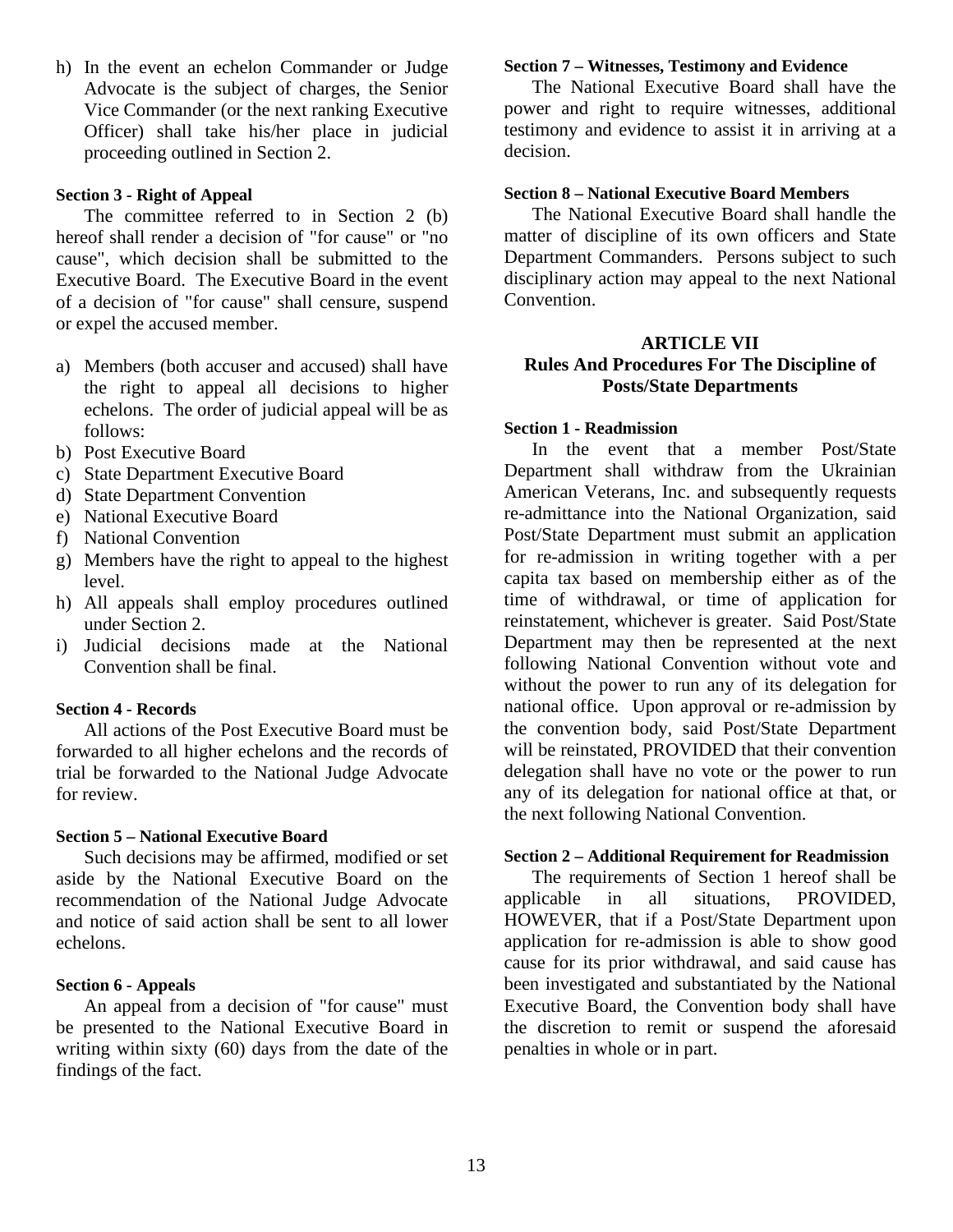h) In the event an echelon Commander or Judge Advocate is the subject of charges, the Senior Vice Commander (or the next ranking Executive Officer) shall take his/her place in judicial proceeding outlined in Section 2.

#### <span id="page-12-0"></span>**Section 3 - Right of Appeal**

The committee referred to in Section 2 (b) hereof shall render a decision of "for cause" or "no cause", which decision shall be submitted to the Executive Board. The Executive Board in the event of a decision of "for cause" shall censure, suspend or expel the accused member.

- a) Members (both accuser and accused) shall have the right to appeal all decisions to higher echelons. The order of judicial appeal will be as follows:
- b) Post Executive Board
- c) State Department Executive Board
- d) State Department Convention
- e) National Executive Board
- f) National Convention
- g) Members have the right to appeal to the highest level.
- h) All appeals shall employ procedures outlined under Section 2.
- i) Judicial decisions made at the National Convention shall be final.

#### <span id="page-12-1"></span>**Section 4 - Records**

All actions of the Post Executive Board must be forwarded to all higher echelons and the records of trial be forwarded to the National Judge Advocate for review.

#### <span id="page-12-2"></span>**Section 5 – National Executive Board**

Such decisions may be affirmed, modified or set aside by the National Executive Board on the recommendation of the National Judge Advocate and notice of said action shall be sent to all lower echelons.

#### <span id="page-12-3"></span>**Section 6 - Appeals**

An appeal from a decision of "for cause" must be presented to the National Executive Board in writing within sixty (60) days from the date of the findings of the fact.

#### <span id="page-12-4"></span>**Section 7 – Witnesses, Testimony and Evidence**

The National Executive Board shall have the power and right to require witnesses, additional testimony and evidence to assist it in arriving at a decision.

#### <span id="page-12-5"></span>**Section 8 – National Executive Board Members**

The National Executive Board shall handle the matter of discipline of its own officers and State Department Commanders. Persons subject to such disciplinary action may appeal to the next National Convention.

# <span id="page-12-6"></span>**ARTICLE VII Rules And Procedures For The Discipline of Posts/State Departments**

#### <span id="page-12-7"></span>**Section 1 - Readmission**

In the event that a member Post/State Department shall withdraw from the Ukrainian American Veterans, Inc. and subsequently requests re-admittance into the National Organization, said Post/State Department must submit an application for re-admission in writing together with a per capita tax based on membership either as of the time of withdrawal, or time of application for reinstatement, whichever is greater. Said Post/State Department may then be represented at the next following National Convention without vote and without the power to run any of its delegation for national office. Upon approval or re-admission by the convention body, said Post/State Department will be reinstated, PROVIDED that their convention delegation shall have no vote or the power to run any of its delegation for national office at that, or the next following National Convention.

# <span id="page-12-8"></span>**Section 2 – Additional Requirement for Readmission**

The requirements of Section 1 hereof shall be applicable in all situations, PROVIDED, HOWEVER, that if a Post/State Department upon application for re-admission is able to show good cause for its prior withdrawal, and said cause has been investigated and substantiated by the National Executive Board, the Convention body shall have the discretion to remit or suspend the aforesaid penalties in whole or in part.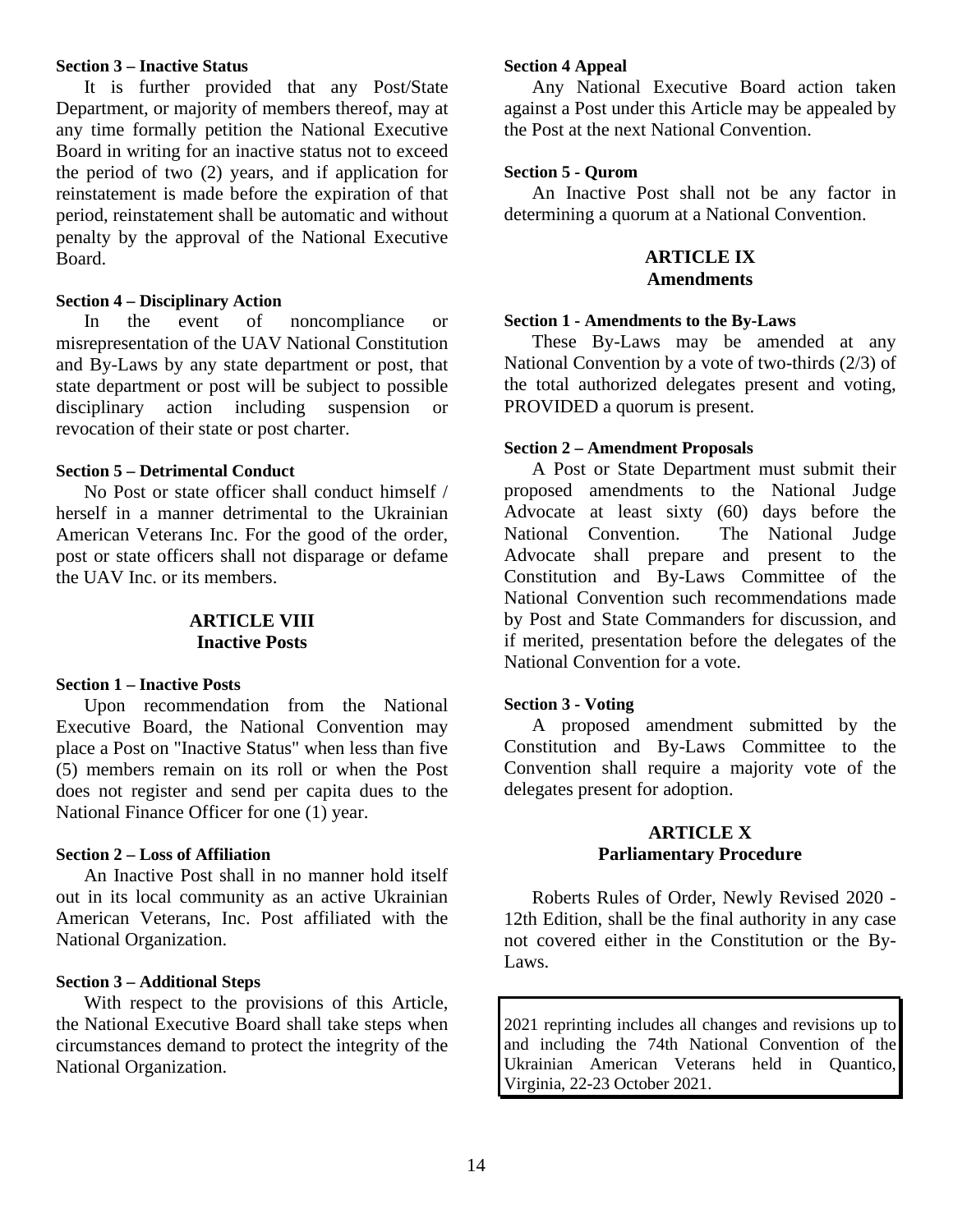#### <span id="page-13-0"></span>**Section 3 – Inactive Status**

It is further provided that any Post/State Department, or majority of members thereof, may at any time formally petition the National Executive Board in writing for an inactive status not to exceed the period of two (2) years, and if application for reinstatement is made before the expiration of that period, reinstatement shall be automatic and without penalty by the approval of the National Executive Board.

#### <span id="page-13-1"></span>**Section 4 – Disciplinary Action**

In the event of noncompliance or misrepresentation of the UAV National Constitution and By-Laws by any state department or post, that state department or post will be subject to possible disciplinary action including suspension or revocation of their state or post charter.

#### <span id="page-13-2"></span>**Section 5 – Detrimental Conduct**

No Post or state officer shall conduct himself / herself in a manner detrimental to the Ukrainian American Veterans Inc. For the good of the order, post or state officers shall not disparage or defame the UAV Inc. or its members.

# **ARTICLE VIII Inactive Posts**

#### <span id="page-13-4"></span><span id="page-13-3"></span>**Section 1 – Inactive Posts**

Upon recommendation from the National Executive Board, the National Convention may place a Post on "Inactive Status" when less than five (5) members remain on its roll or when the Post does not register and send per capita dues to the National Finance Officer for one (1) year.

#### <span id="page-13-5"></span>**Section 2 – Loss of Affiliation**

An Inactive Post shall in no manner hold itself out in its local community as an active Ukrainian American Veterans, Inc. Post affiliated with the National Organization.

#### <span id="page-13-6"></span>**Section 3 – Additional Steps**

With respect to the provisions of this Article, the National Executive Board shall take steps when circumstances demand to protect the integrity of the National Organization.

#### <span id="page-13-7"></span>**Section 4 Appeal**

Any National Executive Board action taken against a Post under this Article may be appealed by the Post at the next National Convention.

#### <span id="page-13-8"></span>**Section 5 - Qurom**

<span id="page-13-9"></span>An Inactive Post shall not be any factor in determining a quorum at a National Convention.

#### **ARTICLE IX Amendments**

#### <span id="page-13-10"></span>**Section 1 - Amendments to the By-Laws**

These By-Laws may be amended at any National Convention by a vote of two-thirds (2/3) of the total authorized delegates present and voting, PROVIDED a quorum is present.

#### <span id="page-13-11"></span>**Section 2 – Amendment Proposals**

A Post or State Department must submit their proposed amendments to the National Judge Advocate at least sixty (60) days before the National Convention. The National Judge Advocate shall prepare and present to the Constitution and By-Laws Committee of the National Convention such recommendations made by Post and State Commanders for discussion, and if merited, presentation before the delegates of the National Convention for a vote.

#### <span id="page-13-12"></span>**Section 3 - Voting**

A proposed amendment submitted by the Constitution and By-Laws Committee to the Convention shall require a majority vote of the delegates present for adoption.

# **ARTICLE X Parliamentary Procedure**

<span id="page-13-13"></span>Roberts Rules of Order, Newly Revised 2020 - 12th Edition, shall be the final authority in any case not covered either in the Constitution or the By-Laws.

2021 reprinting includes all changes and revisions up to and including the 74th National Convention of the Ukrainian American Veterans held in Quantico, Virginia, 22-23 October 2021.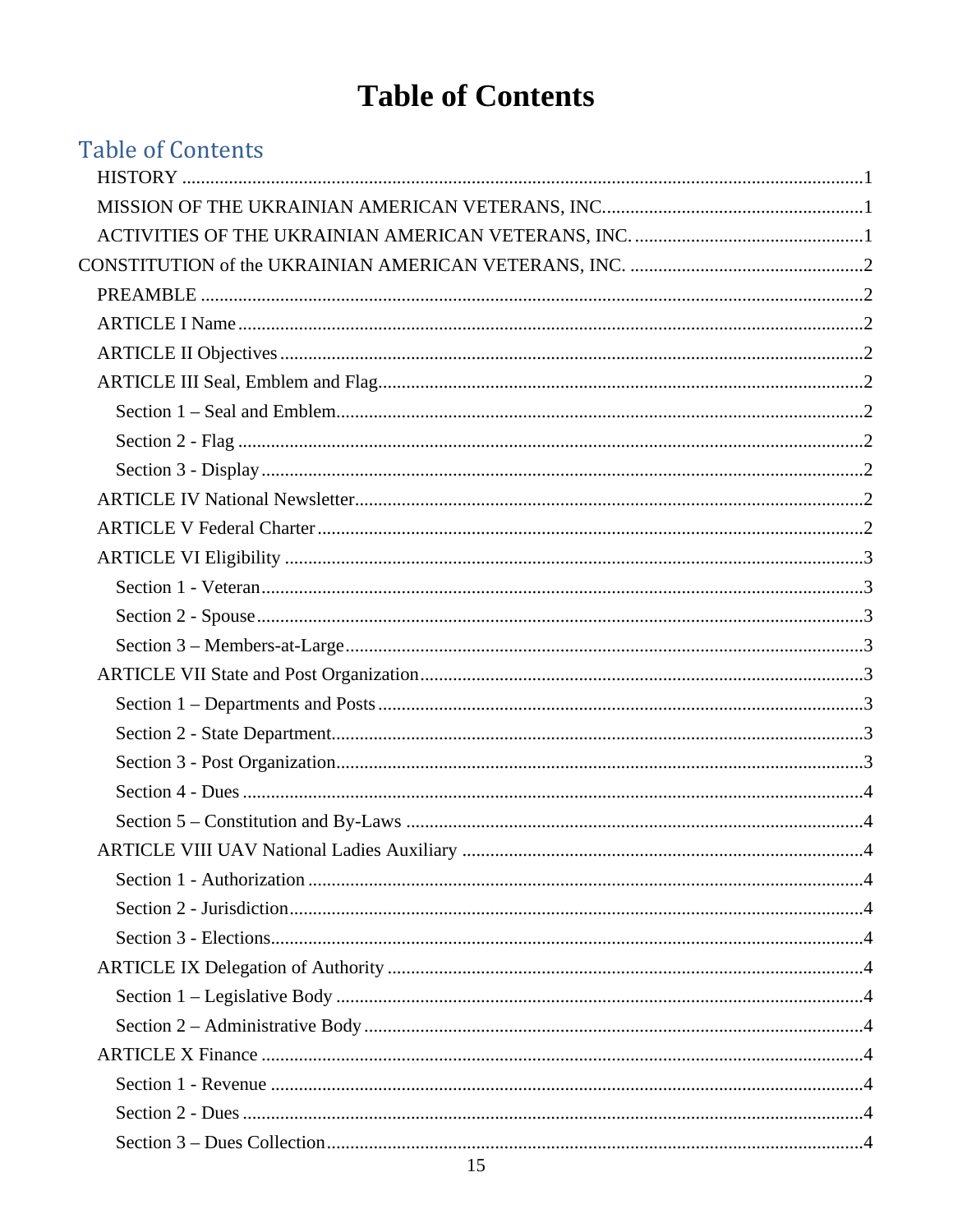# **Table of Contents**

<span id="page-14-0"></span>

| <b>Table of Contents</b> |  |
|--------------------------|--|
|                          |  |
|                          |  |
|                          |  |
|                          |  |
|                          |  |
|                          |  |
|                          |  |
|                          |  |
|                          |  |
|                          |  |
|                          |  |
|                          |  |
|                          |  |
|                          |  |
|                          |  |
|                          |  |
|                          |  |
|                          |  |
|                          |  |
|                          |  |
|                          |  |
|                          |  |
|                          |  |
|                          |  |
|                          |  |
|                          |  |
|                          |  |
|                          |  |
|                          |  |
|                          |  |
|                          |  |
|                          |  |
|                          |  |
|                          |  |